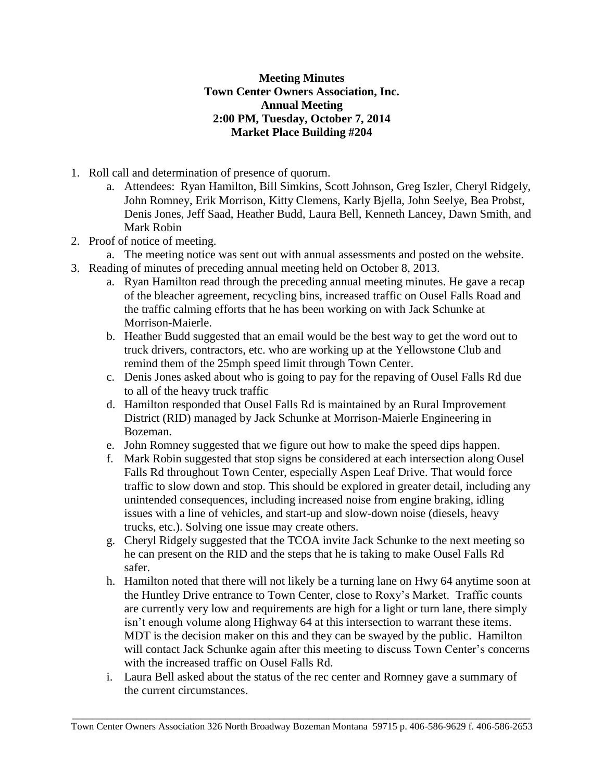## **Meeting Minutes Town Center Owners Association, Inc. Annual Meeting 2:00 PM, Tuesday, October 7, 2014 Market Place Building #204**

- 1. Roll call and determination of presence of quorum.
	- a. Attendees: Ryan Hamilton, Bill Simkins, Scott Johnson, Greg Iszler, Cheryl Ridgely, John Romney, Erik Morrison, Kitty Clemens, Karly Bjella, John Seelye, Bea Probst, Denis Jones, Jeff Saad, Heather Budd, Laura Bell, Kenneth Lancey, Dawn Smith, and Mark Robin
- 2. Proof of notice of meeting.
- a. The meeting notice was sent out with annual assessments and posted on the website.
- 3. Reading of minutes of preceding annual meeting held on October 8, 2013.
	- a. Ryan Hamilton read through the preceding annual meeting minutes. He gave a recap of the bleacher agreement, recycling bins, increased traffic on Ousel Falls Road and the traffic calming efforts that he has been working on with Jack Schunke at Morrison-Maierle.
	- b. Heather Budd suggested that an email would be the best way to get the word out to truck drivers, contractors, etc. who are working up at the Yellowstone Club and remind them of the 25mph speed limit through Town Center.
	- c. Denis Jones asked about who is going to pay for the repaving of Ousel Falls Rd due to all of the heavy truck traffic
	- d. Hamilton responded that Ousel Falls Rd is maintained by an Rural Improvement District (RID) managed by Jack Schunke at Morrison-Maierle Engineering in Bozeman.
	- e. John Romney suggested that we figure out how to make the speed dips happen.
	- f. Mark Robin suggested that stop signs be considered at each intersection along Ousel Falls Rd throughout Town Center, especially Aspen Leaf Drive. That would force traffic to slow down and stop. This should be explored in greater detail, including any unintended consequences, including increased noise from engine braking, idling issues with a line of vehicles, and start-up and slow-down noise (diesels, heavy trucks, etc.). Solving one issue may create others.
	- g. Cheryl Ridgely suggested that the TCOA invite Jack Schunke to the next meeting so he can present on the RID and the steps that he is taking to make Ousel Falls Rd safer.
	- h. Hamilton noted that there will not likely be a turning lane on Hwy 64 anytime soon at the Huntley Drive entrance to Town Center, close to Roxy's Market. Traffic counts are currently very low and requirements are high for a light or turn lane, there simply isn't enough volume along Highway 64 at this intersection to warrant these items. MDT is the decision maker on this and they can be swayed by the public. Hamilton will contact Jack Schunke again after this meeting to discuss Town Center's concerns with the increased traffic on Ousel Falls Rd.
	- i. Laura Bell asked about the status of the rec center and Romney gave a summary of the current circumstances.

 $\_$  ,  $\_$  ,  $\_$  ,  $\_$  ,  $\_$  ,  $\_$  ,  $\_$  ,  $\_$  ,  $\_$  ,  $\_$  ,  $\_$  ,  $\_$  ,  $\_$  ,  $\_$  ,  $\_$  ,  $\_$  ,  $\_$  ,  $\_$  ,  $\_$  ,  $\_$  ,  $\_$  ,  $\_$  ,  $\_$  ,  $\_$  ,  $\_$  ,  $\_$  ,  $\_$  ,  $\_$  ,  $\_$  ,  $\_$  ,  $\_$  ,  $\_$  ,  $\_$  ,  $\_$  ,  $\_$  ,  $\_$  ,  $\_$  , Town Center Owners Association 326 North Broadway Bozeman Montana 59715 p. 406-586-9629 f. 406-586-2653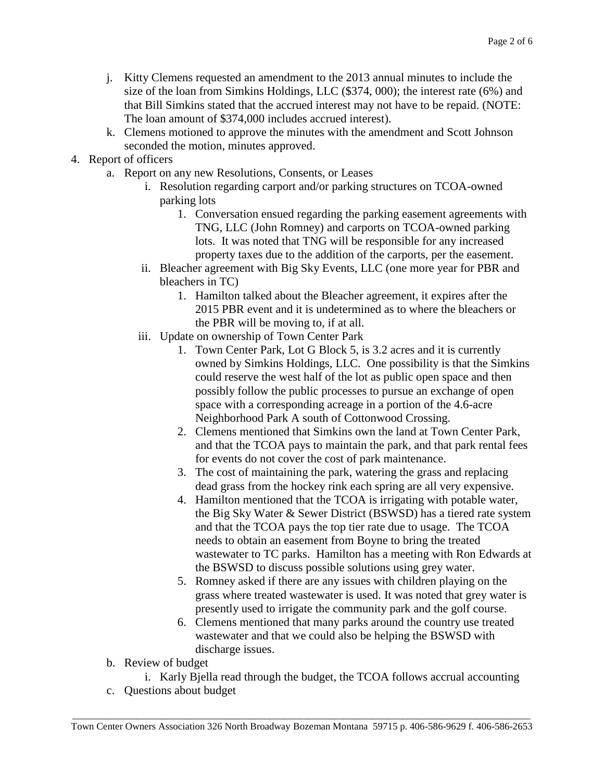- j. Kitty Clemens requested an amendment to the 2013 annual minutes to include the size of the loan from Simkins Holdings, LLC (\$374, 000); the interest rate (6%) and that Bill Simkins stated that the accrued interest may not have to be repaid. (NOTE: The loan amount of \$374,000 includes accrued interest).
- k. Clemens motioned to approve the minutes with the amendment and Scott Johnson seconded the motion, minutes approved.
- 4. Report of officers
	- a. Report on any new Resolutions, Consents, or Leases
		- i. Resolution regarding carport and/or parking structures on TCOA-owned parking lots
			- 1. Conversation ensued regarding the parking easement agreements with TNG, LLC (John Romney) and carports on TCOA-owned parking lots. It was noted that TNG will be responsible for any increased property taxes due to the addition of the carports, per the easement.
		- ii. Bleacher agreement with Big Sky Events, LLC (one more year for PBR and bleachers in TC)
			- 1. Hamilton talked about the Bleacher agreement, it expires after the 2015 PBR event and it is undetermined as to where the bleachers or the PBR will be moving to, if at all.
		- iii. Update on ownership of Town Center Park
			- 1. Town Center Park, Lot G Block 5, is 3.2 acres and it is currently owned by Simkins Holdings, LLC. One possibility is that the Simkins could reserve the west half of the lot as public open space and then possibly follow the public processes to pursue an exchange of open space with a corresponding acreage in a portion of the 4.6-acre Neighborhood Park A south of Cottonwood Crossing.
			- 2. Clemens mentioned that Simkins own the land at Town Center Park, and that the TCOA pays to maintain the park, and that park rental fees for events do not cover the cost of park maintenance.
			- 3. The cost of maintaining the park, watering the grass and replacing dead grass from the hockey rink each spring are all very expensive.
			- 4. Hamilton mentioned that the TCOA is irrigating with potable water, the Big Sky Water & Sewer District (BSWSD) has a tiered rate system and that the TCOA pays the top tier rate due to usage. The TCOA needs to obtain an easement from Boyne to bring the treated wastewater to TC parks. Hamilton has a meeting with Ron Edwards at the BSWSD to discuss possible solutions using grey water.
			- 5. Romney asked if there are any issues with children playing on the grass where treated wastewater is used. It was noted that grey water is presently used to irrigate the community park and the golf course.
			- 6. Clemens mentioned that many parks around the country use treated wastewater and that we could also be helping the BSWSD with discharge issues.
	- b. Review of budget
		- i. Karly Bjella read through the budget, the TCOA follows accrual accounting
	- c. Questions about budget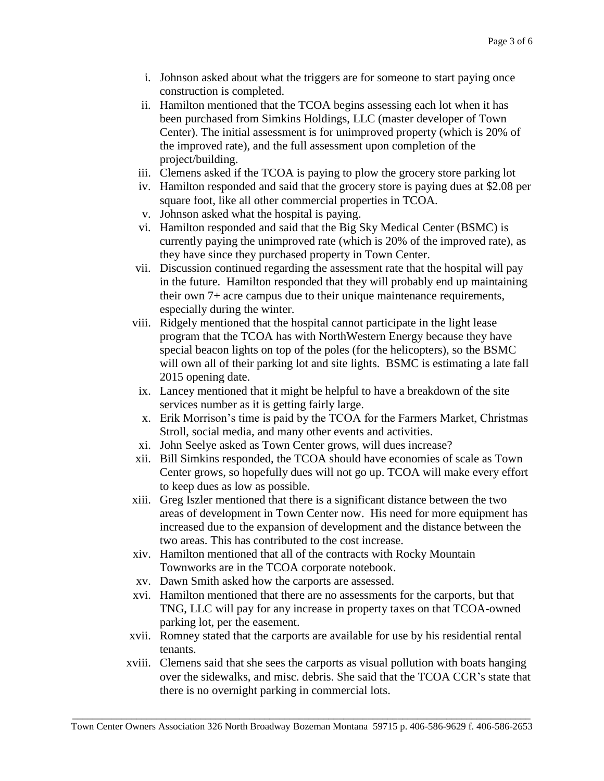- i. Johnson asked about what the triggers are for someone to start paying once construction is completed.
- ii. Hamilton mentioned that the TCOA begins assessing each lot when it has been purchased from Simkins Holdings, LLC (master developer of Town Center). The initial assessment is for unimproved property (which is 20% of the improved rate), and the full assessment upon completion of the project/building.
- iii. Clemens asked if the TCOA is paying to plow the grocery store parking lot
- iv. Hamilton responded and said that the grocery store is paying dues at \$2.08 per square foot, like all other commercial properties in TCOA.
- v. Johnson asked what the hospital is paying.
- vi. Hamilton responded and said that the Big Sky Medical Center (BSMC) is currently paying the unimproved rate (which is 20% of the improved rate), as they have since they purchased property in Town Center.
- vii. Discussion continued regarding the assessment rate that the hospital will pay in the future. Hamilton responded that they will probably end up maintaining their own 7+ acre campus due to their unique maintenance requirements, especially during the winter.
- viii. Ridgely mentioned that the hospital cannot participate in the light lease program that the TCOA has with NorthWestern Energy because they have special beacon lights on top of the poles (for the helicopters), so the BSMC will own all of their parking lot and site lights. BSMC is estimating a late fall 2015 opening date.
- ix. Lancey mentioned that it might be helpful to have a breakdown of the site services number as it is getting fairly large.
- x. Erik Morrison's time is paid by the TCOA for the Farmers Market, Christmas Stroll, social media, and many other events and activities.
- xi. John Seelye asked as Town Center grows, will dues increase?
- xii. Bill Simkins responded, the TCOA should have economies of scale as Town Center grows, so hopefully dues will not go up. TCOA will make every effort to keep dues as low as possible.
- xiii. Greg Iszler mentioned that there is a significant distance between the two areas of development in Town Center now. His need for more equipment has increased due to the expansion of development and the distance between the two areas. This has contributed to the cost increase.
- xiv. Hamilton mentioned that all of the contracts with Rocky Mountain Townworks are in the TCOA corporate notebook.
- xv. Dawn Smith asked how the carports are assessed.
- xvi. Hamilton mentioned that there are no assessments for the carports, but that TNG, LLC will pay for any increase in property taxes on that TCOA-owned parking lot, per the easement.
- xvii. Romney stated that the carports are available for use by his residential rental tenants.
- xviii. Clemens said that she sees the carports as visual pollution with boats hanging over the sidewalks, and misc. debris. She said that the TCOA CCR's state that there is no overnight parking in commercial lots.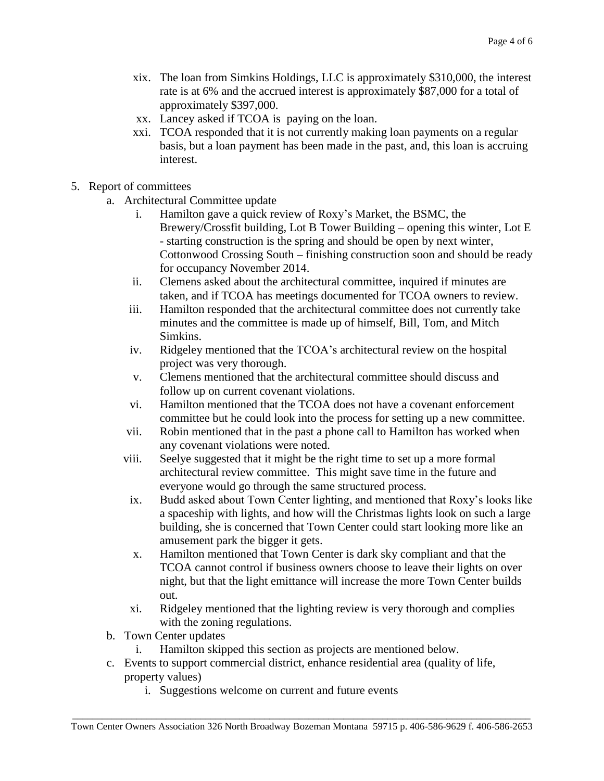- xix. The loan from Simkins Holdings, LLC is approximately \$310,000, the interest rate is at 6% and the accrued interest is approximately \$87,000 for a total of approximately \$397,000.
- xx. Lancey asked if TCOA is paying on the loan.
- xxi. TCOA responded that it is not currently making loan payments on a regular basis, but a loan payment has been made in the past, and, this loan is accruing interest.
- 5. Report of committees
	- a. Architectural Committee update
		- i. Hamilton gave a quick review of Roxy's Market, the BSMC, the Brewery/Crossfit building, Lot B Tower Building – opening this winter, Lot E - starting construction is the spring and should be open by next winter, Cottonwood Crossing South – finishing construction soon and should be ready for occupancy November 2014.
		- ii. Clemens asked about the architectural committee, inquired if minutes are taken, and if TCOA has meetings documented for TCOA owners to review.
		- iii. Hamilton responded that the architectural committee does not currently take minutes and the committee is made up of himself, Bill, Tom, and Mitch Simkins.
		- iv. Ridgeley mentioned that the TCOA's architectural review on the hospital project was very thorough.
		- v. Clemens mentioned that the architectural committee should discuss and follow up on current covenant violations.
		- vi. Hamilton mentioned that the TCOA does not have a covenant enforcement committee but he could look into the process for setting up a new committee.
		- vii. Robin mentioned that in the past a phone call to Hamilton has worked when any covenant violations were noted.
		- viii. Seelye suggested that it might be the right time to set up a more formal architectural review committee. This might save time in the future and everyone would go through the same structured process.
		- ix. Budd asked about Town Center lighting, and mentioned that Roxy's looks like a spaceship with lights, and how will the Christmas lights look on such a large building, she is concerned that Town Center could start looking more like an amusement park the bigger it gets.
		- x. Hamilton mentioned that Town Center is dark sky compliant and that the TCOA cannot control if business owners choose to leave their lights on over night, but that the light emittance will increase the more Town Center builds out.
		- xi. Ridgeley mentioned that the lighting review is very thorough and complies with the zoning regulations.
	- b. Town Center updates
		- i. Hamilton skipped this section as projects are mentioned below.
	- c. Events to support commercial district, enhance residential area (quality of life, property values)
		- i. Suggestions welcome on current and future events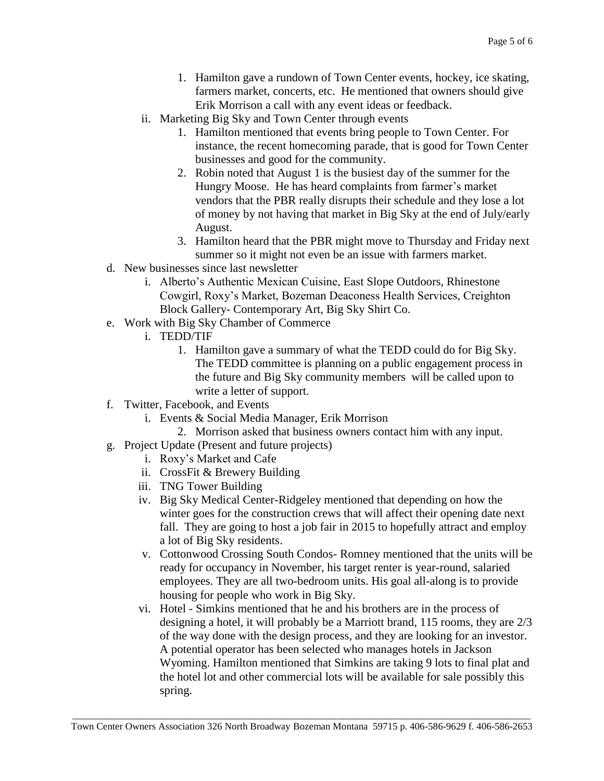- 1. Hamilton gave a rundown of Town Center events, hockey, ice skating, farmers market, concerts, etc. He mentioned that owners should give Erik Morrison a call with any event ideas or feedback.
- ii. Marketing Big Sky and Town Center through events
	- 1. Hamilton mentioned that events bring people to Town Center. For instance, the recent homecoming parade, that is good for Town Center businesses and good for the community.
	- 2. Robin noted that August 1 is the busiest day of the summer for the Hungry Moose. He has heard complaints from farmer's market vendors that the PBR really disrupts their schedule and they lose a lot of money by not having that market in Big Sky at the end of July/early August.
	- 3. Hamilton heard that the PBR might move to Thursday and Friday next summer so it might not even be an issue with farmers market.
- d. New businesses since last newsletter
	- i. Alberto's Authentic Mexican Cuisine, East Slope Outdoors, Rhinestone Cowgirl, Roxy's Market, Bozeman Deaconess Health Services, Creighton Block Gallery- Contemporary Art, Big Sky Shirt Co.
- e. Work with Big Sky Chamber of Commerce
	- i. TEDD/TIF
		- 1. Hamilton gave a summary of what the TEDD could do for Big Sky. The TEDD committee is planning on a public engagement process in the future and Big Sky community members will be called upon to write a letter of support.
- f. Twitter, Facebook, and Events
	- i. Events & Social Media Manager, Erik Morrison
		- 2. Morrison asked that business owners contact him with any input.
- g. Project Update (Present and future projects)
	- i. Roxy's Market and Cafe
	- ii. CrossFit & Brewery Building
	- iii. TNG Tower Building
	- iv. Big Sky Medical Center-Ridgeley mentioned that depending on how the winter goes for the construction crews that will affect their opening date next fall. They are going to host a job fair in 2015 to hopefully attract and employ a lot of Big Sky residents.
	- v. Cottonwood Crossing South Condos- Romney mentioned that the units will be ready for occupancy in November, his target renter is year-round, salaried employees. They are all two-bedroom units. His goal all-along is to provide housing for people who work in Big Sky.
	- vi. Hotel Simkins mentioned that he and his brothers are in the process of designing a hotel, it will probably be a Marriott brand, 115 rooms, they are 2/3 of the way done with the design process, and they are looking for an investor. A potential operator has been selected who manages hotels in Jackson Wyoming. Hamilton mentioned that Simkins are taking 9 lots to final plat and the hotel lot and other commercial lots will be available for sale possibly this spring.

 $\_$  ,  $\_$  ,  $\_$  ,  $\_$  ,  $\_$  ,  $\_$  ,  $\_$  ,  $\_$  ,  $\_$  ,  $\_$  ,  $\_$  ,  $\_$  ,  $\_$  ,  $\_$  ,  $\_$  ,  $\_$  ,  $\_$  ,  $\_$  ,  $\_$  ,  $\_$  ,  $\_$  ,  $\_$  ,  $\_$  ,  $\_$  ,  $\_$  ,  $\_$  ,  $\_$  ,  $\_$  ,  $\_$  ,  $\_$  ,  $\_$  ,  $\_$  ,  $\_$  ,  $\_$  ,  $\_$  ,  $\_$  ,  $\_$  , Town Center Owners Association 326 North Broadway Bozeman Montana 59715 p. 406-586-9629 f. 406-586-2653